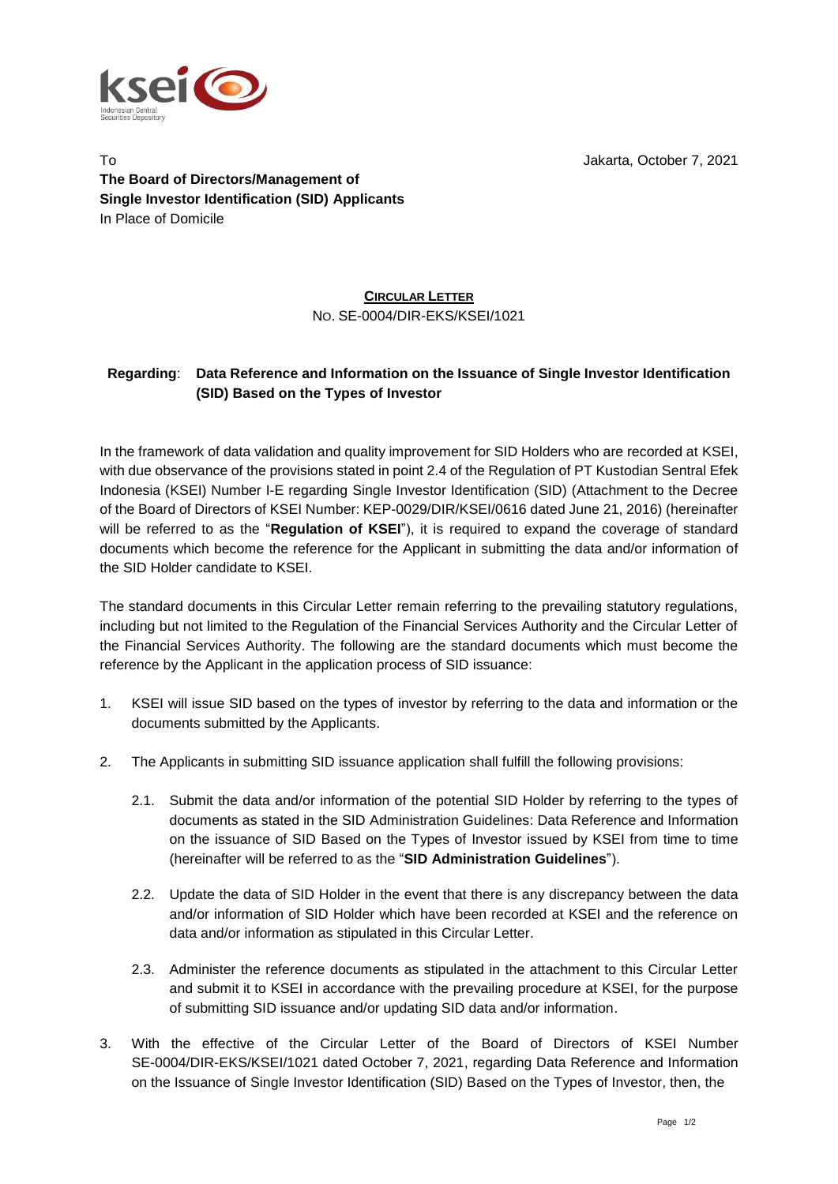

To Jakarta, October 7, 2021 **The Board of Directors/Management of Single Investor Identification (SID) Applicants** In Place of Domicile

## **CIRCULAR LETTER** NO. SE-0004/DIR-EKS/KSEI/1021

## **Regarding**: **Data Reference and Information on the Issuance of Single Investor Identification (SID) Based on the Types of Investor**

In the framework of data validation and quality improvement for SID Holders who are recorded at KSEI, with due observance of the provisions stated in point 2.4 of the Regulation of PT Kustodian Sentral Efek Indonesia (KSEI) Number I-E regarding Single Investor Identification (SID) (Attachment to the Decree of the Board of Directors of KSEI Number: KEP-0029/DIR/KSEI/0616 dated June 21, 2016) (hereinafter will be referred to as the "**Regulation of KSEI**"), it is required to expand the coverage of standard documents which become the reference for the Applicant in submitting the data and/or information of the SID Holder candidate to KSEI.

The standard documents in this Circular Letter remain referring to the prevailing statutory regulations, including but not limited to the Regulation of the Financial Services Authority and the Circular Letter of the Financial Services Authority. The following are the standard documents which must become the reference by the Applicant in the application process of SID issuance:

- 1. KSEI will issue SID based on the types of investor by referring to the data and information or the documents submitted by the Applicants.
- 2. The Applicants in submitting SID issuance application shall fulfill the following provisions:
	- 2.1. Submit the data and/or information of the potential SID Holder by referring to the types of documents as stated in the SID Administration Guidelines: Data Reference and Information on the issuance of SID Based on the Types of Investor issued by KSEI from time to time (hereinafter will be referred to as the "**SID Administration Guidelines**").
	- 2.2. Update the data of SID Holder in the event that there is any discrepancy between the data and/or information of SID Holder which have been recorded at KSEI and the reference on data and/or information as stipulated in this Circular Letter.
	- 2.3. Administer the reference documents as stipulated in the attachment to this Circular Letter and submit it to KSEI in accordance with the prevailing procedure at KSEI, for the purpose of submitting SID issuance and/or updating SID data and/or information.
- 3. With the effective of the Circular Letter of the Board of Directors of KSEI Number SE-0004/DIR-EKS/KSEI/1021 dated October 7, 2021, regarding Data Reference and Information on the Issuance of Single Investor Identification (SID) Based on the Types of Investor, then, the